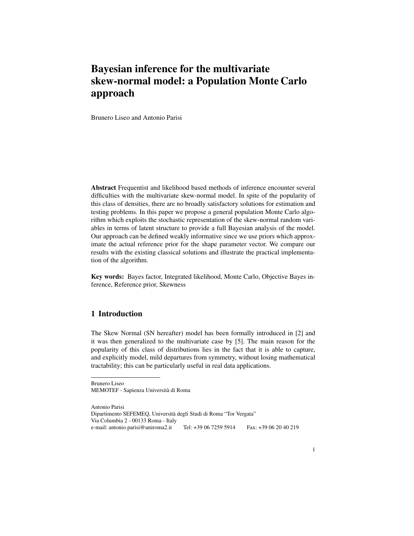# Bayesian inference for the multivariate skew-normal model: a Population Monte Carlo approach

Brunero Liseo and Antonio Parisi

Abstract Frequentist and likelihood based methods of inference encounter several difficulties with the multivariate skew-normal model. In spite of the popularity of this class of densities, there are no broadly satisfactory solutions for estimation and testing problems. In this paper we propose a general population Monte Carlo algorithm which exploits the stochastic representation of the skew-normal random variables in terms of latent structure to provide a full Bayesian analysis of the model. Our approach can be defined weakly informative since we use priors which approximate the actual reference prior for the shape parameter vector. We compare our results with the existing classical solutions and illustrate the practical implementation of the algorithm.

Key words: Bayes factor, Integrated likelihood, Monte Carlo, Objective Bayes inference, Reference prior, Skewness

### 1 Introduction

The Skew Normal (SN hereafter) model has been formally introduced in [2] and it was then generalized to the multivariate case by [5]. The main reason for the popularity of this class of distributions lies in the fact that it is able to capture, and explicitly model, mild departures from symmetry, without losing mathematical tractability; this can be particularly useful in real data applications.

Brunero Liseo MEMOTEF - Sapienza Universita di Roma `

Antonio Parisi Dipartimento SEFEMEQ, Universita degli Studi di Roma "Tor Vergata" ` Via Columbia 2 - 00133 Roma - Italy e-mail: antonio.parisi@uniroma2.it Tel: +39 06 7259 5914 Fax: +39 06 20 40 219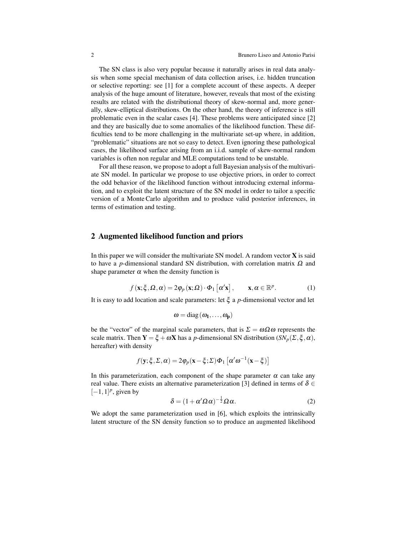The SN class is also very popular because it naturally arises in real data analysis when some special mechanism of data collection arises, i.e. hidden truncation or selective reporting: see [1] for a complete account of these aspects. A deeper analysis of the huge amount of literature, however, reveals that most of the existing results are related with the distributional theory of skew-normal and, more generally, skew-elliptical distributions. On the other hand, the theory of inference is still problematic even in the scalar cases [4]. These problems were anticipated since [2] and they are basically due to some anomalies of the likelihood function. These difficulties tend to be more challenging in the multivariate set-up where, in addition, "problematic" situations are not so easy to detect. Even ignoring these pathological cases, the likelihood surface arising from an i.i.d. sample of skew-normal random variables is often non regular and MLE computations tend to be unstable.

For all these reason, we propose to adopt a full Bayesian analysis of the multivariate SN model. In particular we propose to use objective priors, in order to correct the odd behavior of the likelihood function without introducing external information, and to exploit the latent structure of the SN model in order to tailor a specific version of a Monte Carlo algorithm and to produce valid posterior inferences, in terms of estimation and testing.

#### 2 Augmented likelihood function and priors

In this paper we will consider the multivariate SN model. A random vector  $X$  is said to have a *p*-dimensional standard SN distribution, with correlation matrix  $Ω$  and shape parameter  $\alpha$  when the density function is

$$
f(\mathbf{x}; \xi, \Omega, \alpha) = 2\varphi_p(\mathbf{x}; \Omega) \cdot \Phi_1\left[\alpha' \mathbf{x}\right], \qquad \mathbf{x}, \alpha \in \mathbb{R}^p. \tag{1}
$$

It is easy to add location and scale parameters: let ξ a *p*-dimensional vector and let

$$
\omega = diag(\omega_1, \ldots, \omega_p)
$$

be the "vector" of the marginal scale parameters, that is  $\Sigma = \omega \Omega \omega$  represents the scale matrix. Then  $Y = \xi + \omega X$  has a *p*-dimensional SN distribution  $(SN_p(\Sigma, \xi, \alpha))$ , hereafter) with density

$$
f(\mathbf{y}; \xi, \Sigma, \alpha) = 2\varphi_p(\mathbf{x} - \xi; \Sigma)\Phi_1\left[\alpha'\omega^{-1}(\mathbf{x} - \xi)\right]
$$

In this parameterization, each component of the shape parameter  $\alpha$  can take any real value. There exists an alternative parameterization [3] defined in terms of  $\delta \in$  $[-1, 1]^p$ , given by

$$
\delta = (1 + \alpha' \Omega \alpha)^{-\frac{1}{2}} \Omega \alpha.
$$
 (2)

We adopt the same parameterization used in [6], which exploits the intrinsically latent structure of the SN density function so to produce an augmented likelihood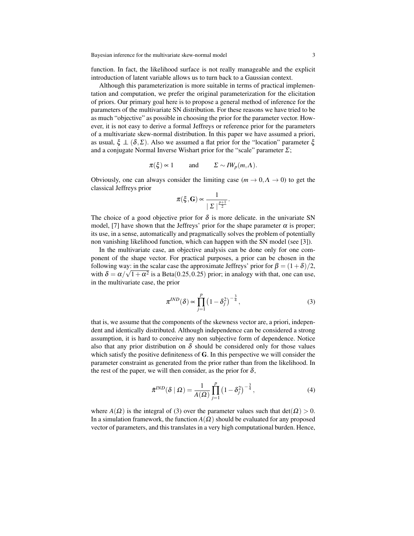function. In fact, the likelihood surface is not really manageable and the explicit introduction of latent variable allows us to turn back to a Gaussian context.

Although this parameterization is more suitable in terms of practical implementation and computation, we prefer the original parameterization for the elicitation of priors. Our primary goal here is to propose a general method of inference for the parameters of the multivariate SN distribution. For these reasons we have tried to be as much "objective" as possible in choosing the prior for the parameter vector. However, it is not easy to derive a formal Jeffreys or reference prior for the parameters of a multivariate skew-normal distribution. In this paper we have assumed a priori, as usual,  $\xi \perp (\delta, \Sigma)$ . Also we assumed a flat prior for the "location" parameter  $\xi$ and a conjugate Normal Inverse Wishart prior for the "scale" parameter  $\Sigma$ ;

$$
\pi(\xi) \approx 1
$$
 and  $\Sigma \sim I W_p(m,\Lambda)$ .

Obviously, one can always consider the limiting case  $(m \to 0, \Lambda \to 0)$  to get the classical Jeffreys prior

$$
\pi(\xi, \mathbf{G}) \propto \frac{1}{|\Sigma|^{\frac{p+1}{2}}}.
$$

The choice of a good objective prior for  $\delta$  is more delicate. in the univariate SN model, [7] have shown that the Jeffreys' prior for the shape parameter  $\alpha$  is proper; its use, in a sense, automatically and pragmatically solves the problem of potentially non vanishing likelihood function, which can happen with the SN model (see [3]).

In the multivariate case, an objective analysis can be done only for one component of the shape vector. For practical purposes, a prior can be chosen in the following way: in the scalar case the approximate Jeffreys' prior for  $\beta = (1 + \delta)/2$ , with  $\delta = \alpha/\sqrt{1 + \alpha^2}$  is a Beta(0.25, 0.25) prior; in analogy with that, one can use, in the multivariate case, the prior

$$
\pi^{IND}(\delta) \propto \prod_{j=1}^{p} \left(1 - \delta_j^2\right)^{-\frac{3}{4}},\tag{3}
$$

that is, we assume that the components of the skewness vector are, a priori, independent and identically distributed. Although independence can be considered a strong assumption, it is hard to conceive any non subjective form of dependence. Notice also that any prior distribution on  $\delta$  should be considered only for those values which satisfy the positive definiteness of **. In this perspective we will consider the** parameter constraint as generated from the prior rather than from the likelihood. In the rest of the paper, we will then consider, as the prior for  $\delta$ ,

$$
\tilde{\pi}^{IND}(\delta \mid \Omega) = \frac{1}{A(\Omega)} \prod_{j=1}^{p} \left(1 - \delta_j^2\right)^{-\frac{3}{4}},\tag{4}
$$

where  $A(\Omega)$  is the integral of (3) over the parameter values such that  $det(\Omega) > 0$ . In a simulation framework, the function  $A(\Omega)$  should be evaluated for any proposed vector of parameters, and this translates in a very high computational burden. Hence,